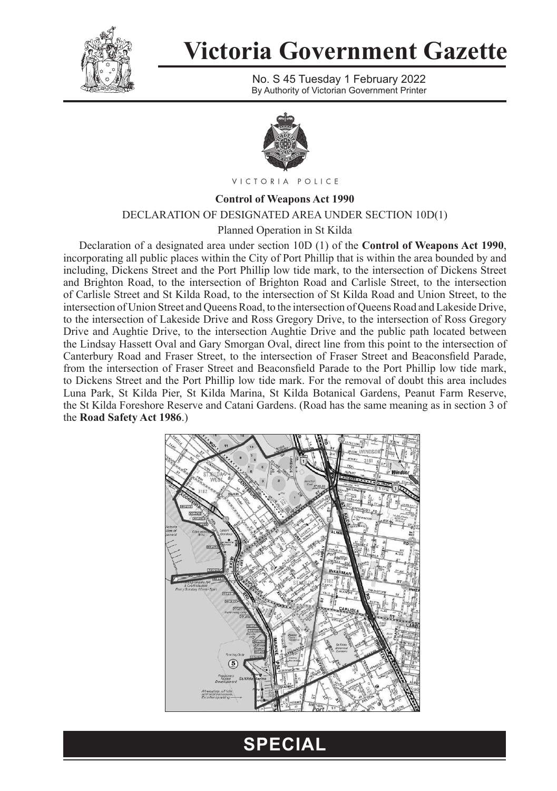

## **Victoria Government Gazette**

No. S 45 Tuesday 1 February 2022 By Authority of Victorian Government Printer



VICTORIA POLICE

## **Control of Weapons Act 1990** DECLARATION OF DESIGNATED AREA UNDER SECTION 10D(1)

Planned Operation in St Kilda

Declaration of a designated area under section 10D (1) of the **Control of Weapons Act 1990**, incorporating all public places within the City of Port Phillip that is within the area bounded by and including, Dickens Street and the Port Phillip low tide mark, to the intersection of Dickens Street and Brighton Road, to the intersection of Brighton Road and Carlisle Street, to the intersection of Carlisle Street and St Kilda Road, to the intersection of St Kilda Road and Union Street, to the intersection of Union Street and Queens Road, to the intersection of Queens Road and Lakeside Drive, to the intersection of Lakeside Drive and Ross Gregory Drive, to the intersection of Ross Gregory Drive and Aughtie Drive, to the intersection Aughtie Drive and the public path located between the Lindsay Hassett Oval and Gary Smorgan Oval, direct line from this point to the intersection of Canterbury Road and Fraser Street, to the intersection of Fraser Street and Beaconsfield Parade, from the intersection of Fraser Street and Beaconsfield Parade to the Port Phillip low tide mark, to Dickens Street and the Port Phillip low tide mark. For the removal of doubt this area includes Luna Park, St Kilda Pier, St Kilda Marina, St Kilda Botanical Gardens, Peanut Farm Reserve, the St Kilda Foreshore Reserve and Catani Gardens. (Road has the same meaning as in section 3 of the **Road Safety Act 1986**.)



## **SPECIAL**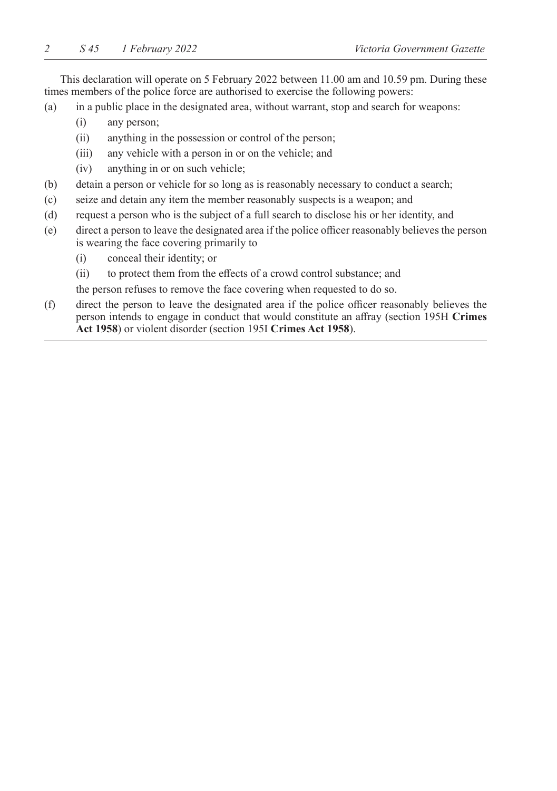This declaration will operate on 5 February 2022 between 11.00 am and 10.59 pm. During these times members of the police force are authorised to exercise the following powers:

- (a) in a public place in the designated area, without warrant, stop and search for weapons:
	- (i) any person;
	- (ii) anything in the possession or control of the person;
	- (iii) any vehicle with a person in or on the vehicle; and
	- (iv) anything in or on such vehicle;
- (b) detain a person or vehicle for so long as is reasonably necessary to conduct a search;
- (c) seize and detain any item the member reasonably suspects is a weapon; and
- (d) request a person who is the subject of a full search to disclose his or her identity, and
- (e) direct a person to leave the designated area if the police officer reasonably believes the person is wearing the face covering primarily to
	- (i) conceal their identity; or
	- (ii) to protect them from the effects of a crowd control substance; and

the person refuses to remove the face covering when requested to do so.

(f) direct the person to leave the designated area if the police officer reasonably believes the person intends to engage in conduct that would constitute an affray (section 195H **Crimes Act 1958**) or violent disorder (section 195I **Crimes Act 1958**).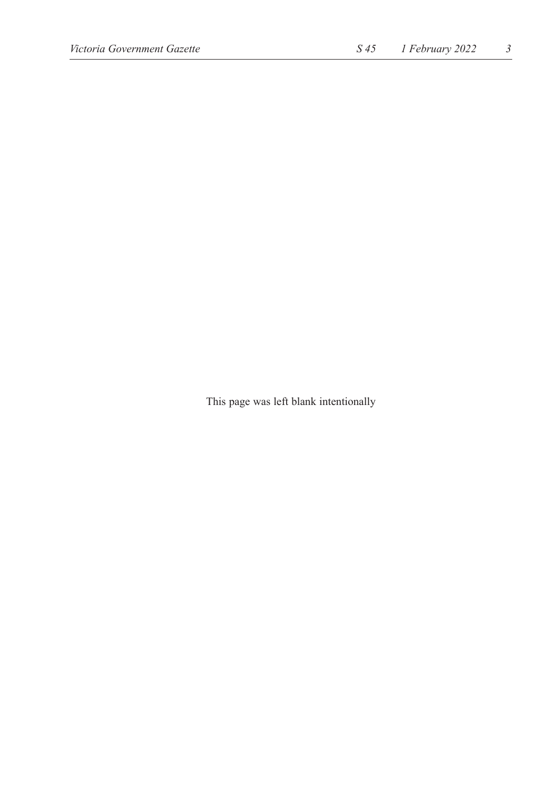This page was left blank intentionally